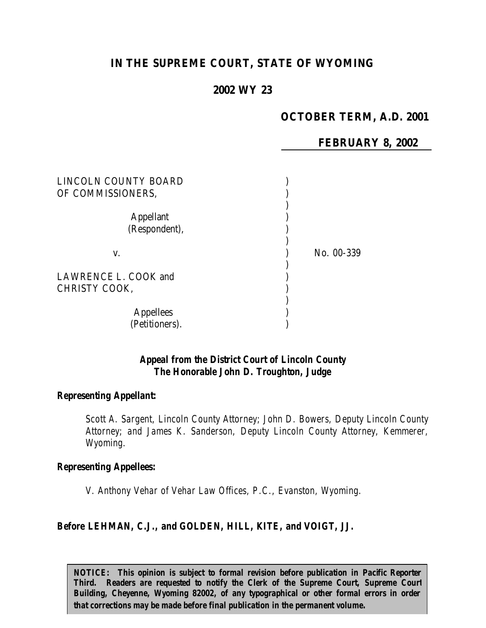# **IN THE SUPREME COURT, STATE OF WYOMING**

# **2002 WY 23**

# **OCTOBER TERM, A.D. 2001**

**FEBRUARY 8, 2002**

| LINCOLN COUNTY BOARD<br>OF COMMISSIONERS, |            |
|-------------------------------------------|------------|
| <b>Appellant</b><br>(Respondent),         |            |
| V.                                        | No. 00-339 |
| LAWRENCE L. COOK and<br>CHRISTY COOK,     |            |
| <b>Appellees</b><br>(Petitioners).        |            |

### *Appeal from the District Court of Lincoln County The Honorable John D. Troughton, Judge*

#### *Representing Appellant:*

*Scott A. Sargent, Lincoln County Attorney; John D. Bowers, Deputy Lincoln County Attorney; and James K. Sanderson, Deputy Lincoln County Attorney, Kemmerer, Wyoming.*

#### *Representing Appellees:*

*V. Anthony Vehar of Vehar Law Offices, P.C., Evanston, Wyoming.*

### *Before LEHMAN, C.J., and GOLDEN, HILL, KITE, and VOIGT, JJ.*

*NOTICE:* This opinion is subject to formal revision before publication in Pacific Reporter *Third. Readers are requested to notify the Clerk of the Supreme Court, Supreme Court Building, Cheyenne, Wyoming 82002, of any typographical or other formal errors in order that corrections may be made before final publication in the permanent volume.*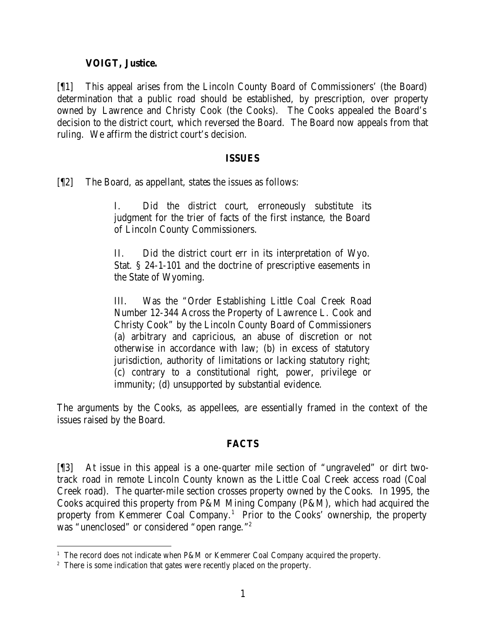### **VOIGT, Justice.**

[¶1] This appeal arises from the Lincoln County Board of Commissioners' (the Board) determination that a public road should be established, by prescription, over property owned by Lawrence and Christy Cook (the Cooks). The Cooks appealed the Board's decision to the district court, which reversed the Board. The Board now appeals from that ruling. We affirm the district court's decision.

### **ISSUES**

[¶2] The Board, as appellant, states the issues as follows:

I. Did the district court, erroneously substitute its judgment for the trier of facts of the first instance, the Board of Lincoln County Commissioners.

II. Did the district court err in its interpretation of Wyo. Stat. § 24-1-101 and the doctrine of prescriptive easements in the State of Wyoming.

III. Was the "Order Establishing Little Coal Creek Road Number 12-344 Across the Property of Lawrence L. Cook and Christy Cook" by the Lincoln County Board of Commissioners (a) arbitrary and capricious, an abuse of discretion or not otherwise in accordance with law; (b) in excess of statutory jurisdiction, authority of limitations or lacking statutory right; (c) contrary to a constitutional right, power, privilege or immunity; (d) unsupported by substantial evidence.

The arguments by the Cooks, as appellees, are essentially framed in the context of the issues raised by the Board.

# **FACTS**

[¶3] At issue in this appeal is a one-quarter mile section of "ungraveled" or dirt twotrack road in remote Lincoln County known as the Little Coal Creek access road (Coal Creek road). The quarter-mile section crosses property owned by the Cooks. In 1995, the Cooks acquired this property from P&M Mining Company (P&M), which had acquired the property from Kemmerer Coal Company.<sup>1</sup> Prior to the Cooks' ownership, the property was "unenclosed" or considered "open range."<sup>2</sup>

<sup>&</sup>lt;sup>1</sup> The record does not indicate when P&M or Kemmerer Coal Company acquired the property.

<sup>&</sup>lt;sup>2</sup> There is some indication that gates were recently placed on the property.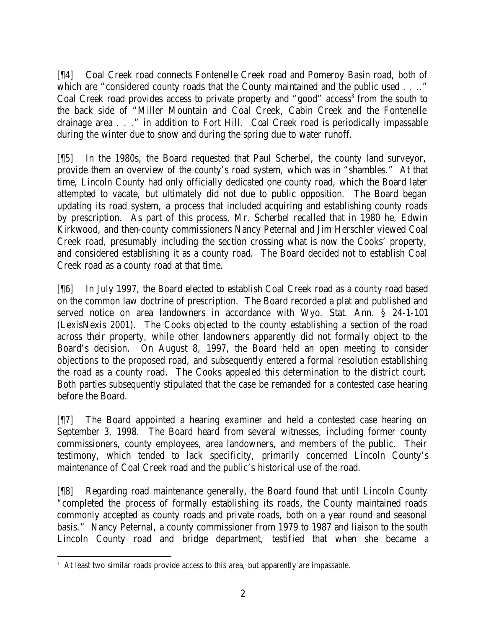[¶4] Coal Creek road connects Fontenelle Creek road and Pomeroy Basin road, both of which are "considered county roads that the County maintained and the public used . . .." Coal Creek road provides access to private property and "good" access<sup>3</sup> from the south to the back side of "Miller Mountain and Coal Creek, Cabin Creek and the Fontenelle drainage area . . ." in addition to Fort Hill. Coal Creek road is periodically impassable during the winter due to snow and during the spring due to water runoff.

[¶5] In the 1980s, the Board requested that Paul Scherbel, the county land surveyor, provide them an overview of the county's road system, which was in "shambles." At that time, Lincoln County had only officially dedicated one county road, which the Board later attempted to vacate, but ultimately did not due to public opposition. The Board began updating its road system, a process that included acquiring and establishing county roads by prescription. As part of this process, Mr. Scherbel recalled that in 1980 he, Edwin Kirkwood, and then-county commissioners Nancy Peternal and Jim Herschler viewed Coal Creek road, presumably including the section crossing what is now the Cooks' property, and considered establishing it as a county road. The Board decided not to establish Coal Creek road as a county road at that time.

[¶6] In July 1997, the Board elected to establish Coal Creek road as a county road based on the common law doctrine of prescription. The Board recorded a plat and published and served notice on area landowners in accordance with Wyo. Stat. Ann. § 24-1-101 (LexisNexis 2001). The Cooks objected to the county establishing a section of the road across their property, while other landowners apparently did not formally object to the Board's decision. On August 8, 1997, the Board held an open meeting to consider objections to the proposed road, and subsequently entered a formal resolution establishing the road as a county road. The Cooks appealed this determination to the district court. Both parties subsequently stipulated that the case be remanded for a contested case hearing before the Board.

[¶7] The Board appointed a hearing examiner and held a contested case hearing on September 3, 1998. The Board heard from several witnesses, including former county commissioners, county employees, area landowners, and members of the public. Their testimony, which tended to lack specificity, primarily concerned Lincoln County's maintenance of Coal Creek road and the public's historical use of the road.

[¶8] Regarding road maintenance generally, the Board found that until Lincoln County "completed the process of formally establishing its roads, the County maintained roads commonly accepted as county roads and private roads, both on a year round and seasonal basis." Nancy Peternal, a county commissioner from 1979 to 1987 and liaison to the south Lincoln County road and bridge department, testified that when she became a

 <sup>3</sup> At least two similar roads provide access to this area, but apparently are impassable.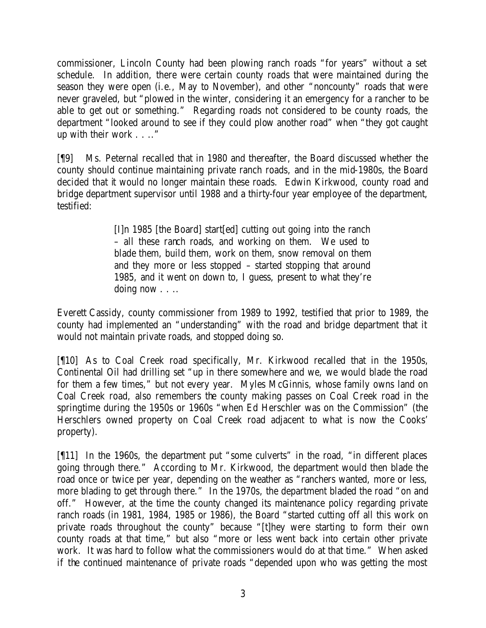commissioner, Lincoln County had been plowing ranch roads "for years" without a set schedule. In addition, there were certain county roads that were maintained during the season they were open (i.e., May to November), and other "noncounty" roads that were never graveled, but "plowed in the winter, considering it an emergency for a rancher to be able to get out or something." Regarding roads not considered to be county roads, the department "looked around to see if they could plow another road" when "they got caught up with their work . . .."

[¶9] Ms. Peternal recalled that in 1980 and thereafter, the Board discussed whether the county should continue maintaining private ranch roads, and in the mid-1980s, the Board decided that it would no longer maintain these roads. Edwin Kirkwood, county road and bridge department supervisor until 1988 and a thirty-four year employee of the department, testified:

> [I]n 1985 [the Board] start[ed] cutting out going into the ranch – all these ranch roads, and working on them. We used to blade them, build them, work on them, snow removal on them and they more or less stopped – started stopping that around 1985, and it went on down to, I guess, present to what they're doing now . . ..

Everett Cassidy, county commissioner from 1989 to 1992, testified that prior to 1989, the county had implemented an "understanding" with the road and bridge department that it would not maintain private roads, and stopped doing so.

[¶10] As to Coal Creek road specifically, Mr. Kirkwood recalled that in the 1950s, Continental Oil had drilling set "up in there somewhere and we, we would blade the road for them a few times," but not every year. Myles McGinnis, whose family owns land on Coal Creek road, also remembers the county making passes on Coal Creek road in the springtime during the 1950s or 1960s "when Ed Herschler was on the Commission" (the Herschlers owned property on Coal Creek road adjacent to what is now the Cooks' property).

[¶11] In the 1960s, the department put "some culverts" in the road, "in different places going through there." According to Mr. Kirkwood, the department would then blade the road once or twice per year, depending on the weather as "ranchers wanted, more or less, more blading to get through there." In the 1970s, the department bladed the road "on and off." However, at the time the county changed its maintenance policy regarding private ranch roads (in 1981, 1984, 1985 or 1986), the Board "started cutting off all this work on private roads throughout the county" because "[t]hey were starting to form their own county roads at that time," but also "more or less went back into certain other private work. It was hard to follow what the commissioners would do at that time." When asked if the continued maintenance of private roads "depended upon who was getting the most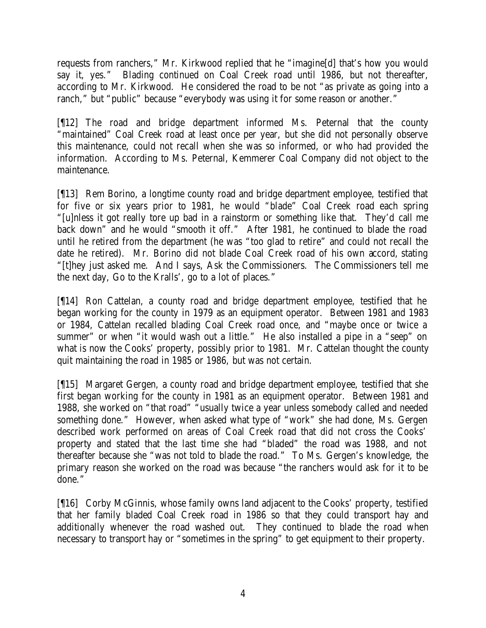requests from ranchers," Mr. Kirkwood replied that he "imagine[d] that's how you would say it, yes." Blading continued on Coal Creek road until 1986, but not thereafter, according to Mr. Kirkwood. He considered the road to be not "as private as going into a ranch," but "public" because "everybody was using it for some reason or another."

[¶12] The road and bridge department informed Ms. Peternal that the county "maintained" Coal Creek road at least once per year, but she did not personally observe this maintenance, could not recall when she was so informed, or who had provided the information. According to Ms. Peternal, Kemmerer Coal Company did not object to the maintenance.

[¶13] Rem Borino, a longtime county road and bridge department employee, testified that for five or six years prior to 1981, he would "blade" Coal Creek road each spring "[u]nless it got really tore up bad in a rainstorm or something like that. They'd call me back down" and he would "smooth it off." After 1981, he continued to blade the road until he retired from the department (he was "too glad to retire" and could not recall the date he retired). Mr. Borino did not blade Coal Creek road of his own accord, stating "[t]hey just asked me. And I says, Ask the Commissioners. The Commissioners tell me the next day, Go to the Kralls', go to a lot of places."

[¶14] Ron Cattelan, a county road and bridge department employee, testified that he began working for the county in 1979 as an equipment operator. Between 1981 and 1983 or 1984, Cattelan recalled blading Coal Creek road once, and "maybe once or twice a summer" or when "it would wash out a little." He also installed a pipe in a "seep" on what is now the Cooks' property, possibly prior to 1981. Mr. Cattelan thought the county quit maintaining the road in 1985 or 1986, but was not certain.

[¶15] Margaret Gergen, a county road and bridge department employee, testified that she first began working for the county in 1981 as an equipment operator. Between 1981 and 1988, she worked on "that road" "usually twice a year unless somebody called and needed something done." However, when asked what type of "work" she had done, Ms. Gergen described work performed on areas of Coal Creek road that did not cross the Cooks' property and stated that the last time she had "bladed" the road was 1988, and not thereafter because she "was not told to blade the road." To Ms. Gergen's knowledge, the primary reason she worked on the road was because "the ranchers would ask for it to be done."

[¶16] Corby McGinnis, whose family owns land adjacent to the Cooks' property, testified that her family bladed Coal Creek road in 1986 so that they could transport hay and additionally whenever the road washed out. They continued to blade the road when necessary to transport hay or "sometimes in the spring" to get equipment to their property.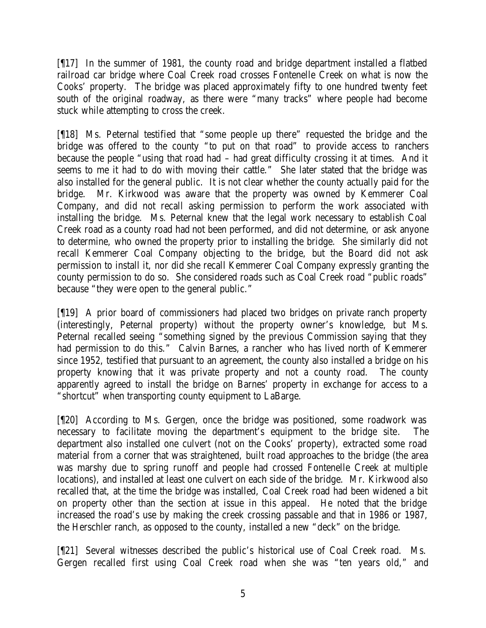[¶17] In the summer of 1981, the county road and bridge department installed a flatbed railroad car bridge where Coal Creek road crosses Fontenelle Creek on what is now the Cooks' property. The bridge was placed approximately fifty to one hundred twenty feet south of the original roadway, as there were "many tracks" where people had become stuck while attempting to cross the creek.

[¶18] Ms. Peternal testified that "some people up there" requested the bridge and the bridge was offered to the county "to put on that road" to provide access to ranchers because the people "using that road had – had great difficulty crossing it at times. And it seems to me it had to do with moving their cattle." She later stated that the bridge was also installed for the general public. It is not clear whether the county actually paid for the bridge. Mr. Kirkwood was aware that the property was owned by Kemmerer Coal Company, and did not recall asking permission to perform the work associated with installing the bridge. Ms. Peternal knew that the legal work necessary to establish Coal Creek road as a county road had not been performed, and did not determine, or ask anyone to determine, who owned the property prior to installing the bridge. She similarly did not recall Kemmerer Coal Company objecting to the bridge, but the Board did not ask permission to install it, nor did she recall Kemmerer Coal Company expressly granting the county permission to do so. She considered roads such as Coal Creek road "public roads" because "they were open to the general public."

[¶19] A prior board of commissioners had placed two bridges on private ranch property (interestingly, Peternal property) without the property owner's knowledge, but Ms. Peternal recalled seeing "something signed by the previous Commission saying that they had permission to do this." Calvin Barnes, a rancher who has lived north of Kemmerer since 1952, testified that pursuant to an agreement, the county also installed a bridge on his property knowing that it was private property and not a county road. The county apparently agreed to install the bridge on Barnes' property in exchange for access to a "shortcut" when transporting county equipment to LaBarge.

[¶20] According to Ms. Gergen, once the bridge was positioned, some roadwork was necessary to facilitate moving the department's equipment to the bridge site. The department also installed one culvert (not on the Cooks' property), extracted some road material from a corner that was straightened, built road approaches to the bridge (the area was marshy due to spring runoff and people had crossed Fontenelle Creek at multiple locations), and installed at least one culvert on each side of the bridge. Mr. Kirkwood also recalled that, at the time the bridge was installed, Coal Creek road had been widened a bit on property other than the section at issue in this appeal. He noted that the bridge increased the road's use by making the creek crossing passable and that in 1986 or 1987, the Herschler ranch, as opposed to the county, installed a new "deck" on the bridge.

[¶21] Several witnesses described the public's historical use of Coal Creek road. Ms. Gergen recalled first using Coal Creek road when she was "ten years old," and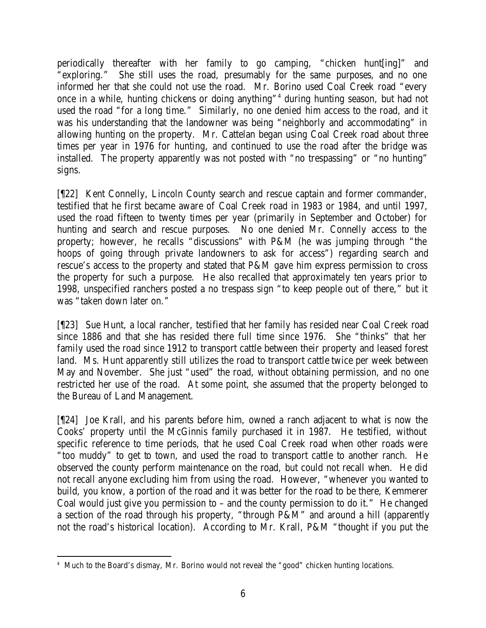periodically thereafter with her family to go camping, "chicken hunt[ing]" and "exploring." She still uses the road, presumably for the same purposes, and no one informed her that she could not use the road. Mr. Borino used Coal Creek road "every once in a while, hunting chickens or doing anything"<sup>4</sup> during hunting season, but had not used the road "for a long time." Similarly, no one denied him access to the road, and it was his understanding that the landowner was being "neighborly and accommodating" in allowing hunting on the property. Mr. Cattelan began using Coal Creek road about three times per year in 1976 for hunting, and continued to use the road after the bridge was installed. The property apparently was not posted with "no trespassing" or "no hunting" signs.

[¶22] Kent Connelly, Lincoln County search and rescue captain and former commander, testified that he first became aware of Coal Creek road in 1983 or 1984, and until 1997, used the road fifteen to twenty times per year (primarily in September and October) for hunting and search and rescue purposes. No one denied Mr. Connelly access to the property; however, he recalls "discussions" with P&M (he was jumping through "the hoops of going through private landowners to ask for access") regarding search and rescue's access to the property and stated that P&M gave him express permission to cross the property for such a purpose. He also recalled that approximately ten years prior to 1998, unspecified ranchers posted a no trespass sign "to keep people out of there," but it was "taken down later on."

[¶23] Sue Hunt, a local rancher, testified that her family has resided near Coal Creek road since 1886 and that she has resided there full time since 1976. She "thinks" that her family used the road since 1912 to transport cattle between their property and leased forest land. Ms. Hunt apparently still utilizes the road to transport cattle twice per week between May and November. She just "used" the road, without obtaining permission, and no one restricted her use of the road. At some point, she assumed that the property belonged to the Bureau of Land Management.

[¶24] Joe Krall, and his parents before him, owned a ranch adjacent to what is now the Cooks' property until the McGinnis family purchased it in 1987. He testified, without specific reference to time periods, that he used Coal Creek road when other roads were "too muddy" to get to town, and used the road to transport cattle to another ranch. He observed the county perform maintenance on the road, but could not recall when. He did not recall anyone excluding him from using the road. However, "whenever you wanted to build, you know, a portion of the road and it was better for the road to be there, Kemmerer Coal would just give you permission to – and the county permission to do it." He changed a section of the road through his property, "through P&M" and around a hill (apparently not the road's historical location). According to Mr. Krall, P&M "thought if you put the

 4 Much to the Board's dismay, Mr. Borino would not reveal the "good" chicken hunting locations.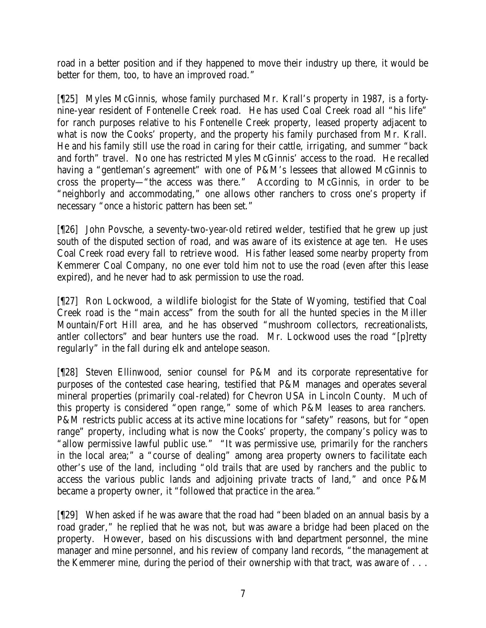road in a better position and if they happened to move their industry up there, it would be better for them, too, to have an improved road."

[¶25] Myles McGinnis, whose family purchased Mr. Krall's property in 1987, is a fortynine-year resident of Fontenelle Creek road. He has used Coal Creek road all "his life" for ranch purposes relative to his Fontenelle Creek property, leased property adjacent to what is now the Cooks' property, and the property his family purchased from Mr. Krall. He and his family still use the road in caring for their cattle, irrigating, and summer "back and forth" travel. No one has restricted Myles McGinnis' access to the road. He recalled having a "gentleman's agreement" with one of P&M's lessees that allowed McGinnis to cross the property—"the access was there." According to McGinnis, in order to be "neighborly and accommodating," one allows other ranchers to cross one's property if necessary "once a historic pattern has been set."

[¶26] John Povsche, a seventy-two-year-old retired welder, testified that he grew up just south of the disputed section of road, and was aware of its existence at age ten. He uses Coal Creek road every fall to retrieve wood. His father leased some nearby property from Kemmerer Coal Company, no one ever told him not to use the road (even after this lease expired), and he never had to ask permission to use the road.

[¶27] Ron Lockwood, a wildlife biologist for the State of Wyoming, testified that Coal Creek road is the "main access" from the south for all the hunted species in the Miller Mountain/Fort Hill area, and he has observed "mushroom collectors, recreationalists, antler collectors" and bear hunters use the road. Mr. Lockwood uses the road "[p]retty regularly" in the fall during elk and antelope season.

[¶28] Steven Ellinwood, senior counsel for P&M and its corporate representative for purposes of the contested case hearing, testified that P&M manages and operates several mineral properties (primarily coal-related) for Chevron USA in Lincoln County. Much of this property is considered "open range," some of which P&M leases to area ranchers. P&M restricts public access at its active mine locations for "safety" reasons, but for "open range" property, including what is now the Cooks' property, the company's policy was to "allow permissive lawful public use." "It was permissive use, primarily for the ranchers in the local area;" a "course of dealing" among area property owners to facilitate each other's use of the land, including "old trails that are used by ranchers and the public to access the various public lands and adjoining private tracts of land," and once P&M became a property owner, it "followed that practice in the area."

[¶29] When asked if he was aware that the road had "been bladed on an annual basis by a road grader," he replied that he was not, but was aware a bridge had been placed on the property. However, based on his discussions with land department personnel, the mine manager and mine personnel, and his review of company land records, "the management at the Kemmerer mine, during the period of their ownership with that tract, was aware of . . .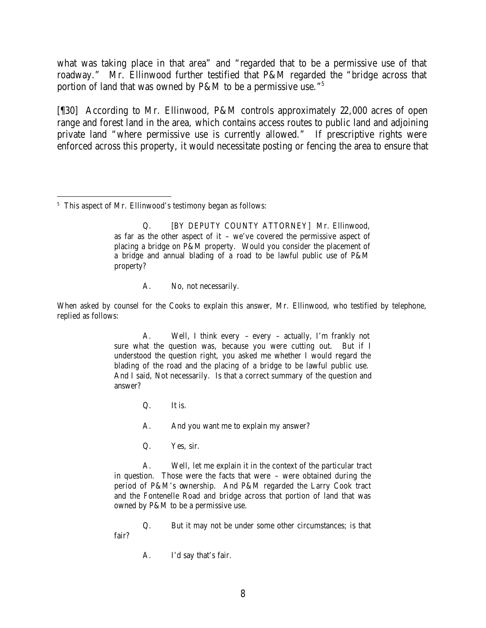what was taking place in that area" and "regarded that to be a permissive use of that roadway." Mr. Ellinwood further testified that P&M regarded the "bridge across that portion of land that was owned by P&M to be a permissive use."<sup>5</sup>

[¶30] According to Mr. Ellinwood, P&M controls approximately 22,000 acres of open range and forest land in the area, which contains access routes to public land and adjoining private land "where permissive use is currently allowed." If prescriptive rights were enforced across this property, it would necessitate posting or fencing the area to ensure that

 <sup>5</sup> This aspect of Mr. Ellinwood's testimony began as follows:

> Q. [BY DEPUTY COUNTY ATTORNEY] Mr. Ellinwood, as far as the other aspect of it – we've covered the permissive aspect of placing a bridge on P&M property. Would you consider the placement of a bridge and annual blading of a road to be lawful public use of P&M property?

> > A. No, not necessarily.

When asked by counsel for the Cooks to explain this answer, Mr. Ellinwood, who testified by telephone, replied as follows:

> A. Well, I think every – every – actually, I'm frankly not sure what the question was, because you were cutting out. But if I understood the question right, you asked me whether I would regard the blading of the road and the placing of a bridge to be lawful public use. And I said, Not necessarily. Is that a correct summary of the question and answer?

> > Q. It is.

A. And you want me to explain my answer?

Q. Yes, sir.

A. Well, let me explain it in the context of the particular tract in question. Those were the facts that were – were obtained during the period of P&M's ownership. And P&M regarded the Larry Cook tract and the Fontenelle Road and bridge across that portion of land that was owned by P&M to be a permissive use.

Q. But it may not be under some other circumstances; is that fair?

A. I'd say that's fair.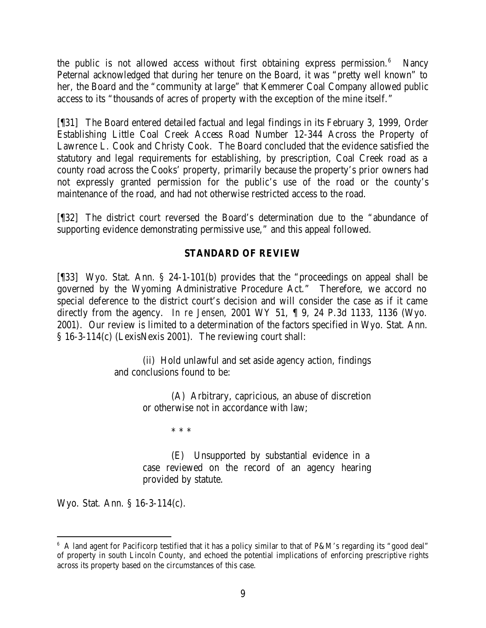the public is not allowed access without first obtaining express permission. $6$  Nancy Peternal acknowledged that during her tenure on the Board, it was "pretty well known" to her, the Board and the "community at large" that Kemmerer Coal Company allowed public access to its "thousands of acres of property with the exception of the mine itself."

[¶31] The Board entered detailed factual and legal findings in its February 3, 1999, Order Establishing Little Coal Creek Access Road Number 12-344 Across the Property of Lawrence L. Cook and Christy Cook. The Board concluded that the evidence satisfied the statutory and legal requirements for establishing, by prescription, Coal Creek road as a county road across the Cooks' property, primarily because the property's prior owners had not expressly granted permission for the public's use of the road or the county's maintenance of the road, and had not otherwise restricted access to the road.

[¶32] The district court reversed the Board's determination due to the "abundance of supporting evidence demonstrating permissive use," and this appeal followed.

# **STANDARD OF REVIEW**

[¶33] Wyo. Stat. Ann. § 24-1-101(b) provides that the "proceedings on appeal shall be governed by the Wyoming Administrative Procedure Act." Therefore, we accord no special deference to the district court's decision and will consider the case as if it came directly from the agency. *In re Jensen*, 2001 WY 51, ¶ 9, 24 P.3d 1133, 1136 (Wyo. 2001). Our review is limited to a determination of the factors specified in Wyo. Stat. Ann. § 16-3-114(c) (LexisNexis 2001). The reviewing court shall:

> (ii) Hold unlawful and set aside agency action, findings and conclusions found to be:

> > (A) Arbitrary, capricious, an abuse of discretion or otherwise not in accordance with law;

> > > \* \* \*

(E) Unsupported by substantial evidence in a case reviewed on the record of an agency hearing provided by statute.

Wyo. Stat. Ann. § 16-3-114(c).

 <sup>6</sup> A land agent for Pacificorp testified that it has a policy similar to that of P&M's regarding its "good deal" of property in south Lincoln County, and echoed the potential implications of enforcing prescriptive rights across its property based on the circumstances of this case.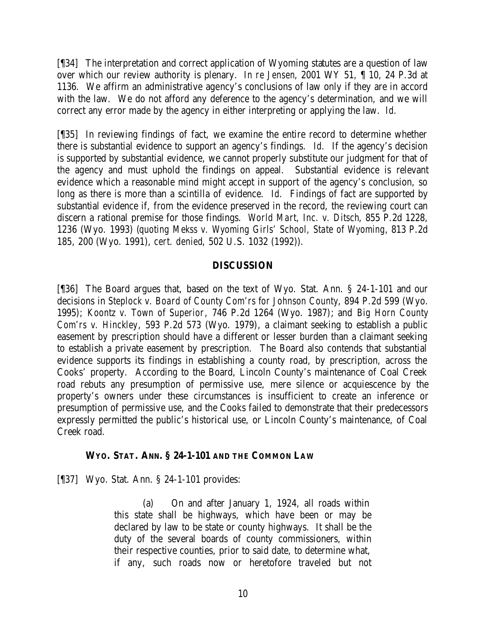[¶34] The interpretation and correct application of Wyoming statutes are a question of law over which our review authority is plenary. *In re Jensen*, 2001 WY 51, ¶ 10, 24 P.3d at 1136. We affirm an administrative agency's conclusions of law only if they are in accord with the law. We do not afford any deference to the agency's determination, and we will correct any error made by the agency in either interpreting or applying the law. *Id.*

[¶35] In reviewing findings of fact, we examine the entire record to determine whether there is substantial evidence to support an agency's findings. *Id.* If the agency's decision is supported by substantial evidence, we cannot properly substitute our judgment for that of the agency and must uphold the findings on appeal. Substantial evidence is relevant evidence which a reasonable mind might accept in support of the agency's conclusion, so long as there is more than a scintilla of evidence. *Id.* Findings of fact are supported by substantial evidence if, from the evidence preserved in the record, the reviewing court can discern a rational premise for those findings. *World Mart, Inc. v. Ditsch*, 855 P.2d 1228, 1236 (Wyo. 1993) (*quoting Mekss v. Wyoming Girls' School, State of Wyoming*, 813 P.2d 185, 200 (Wyo. 1991), *cert. denied*, 502 U.S. 1032 (1992)).

# **DISCUSSION**

[¶36] The Board argues that, based on the text of Wyo. Stat. Ann. § 24-1-101 and our decisions in *Steplock v. Board of County Com'rs for Johnson County*, 894 P.2d 599 (Wyo. 1995); *Koontz v. Town of Superior*, 746 P.2d 1264 (Wyo. 1987); and *Big Horn County Com'rs v. Hinckley*, 593 P.2d 573 (Wyo. 1979), a claimant seeking to establish a public easement by prescription should have a different or lesser burden than a claimant seeking to establish a private easement by prescription. The Board also contends that substantial evidence supports its findings in establishing a county road, by prescription, across the Cooks' property. According to the Board, Lincoln County's maintenance of Coal Creek road rebuts any presumption of permissive use, mere silence or acquiescence by the property's owners under these circumstances is insufficient to create an inference or presumption of permissive use, and the Cooks failed to demonstrate that their predecessors expressly permitted the public's historical use, or Lincoln County's maintenance, of Coal Creek road.

### **WYO. STAT. ANN. § 24-1-101 AND THE COMMON LAW**

[¶37] Wyo. Stat. Ann. § 24-1-101 provides:

(a) On and after January 1, 1924, all roads within this state shall be highways, which have been or may be declared by law to be state or county highways. It shall be the duty of the several boards of county commissioners, within their respective counties, prior to said date, to determine what, if any, such roads now or heretofore traveled but not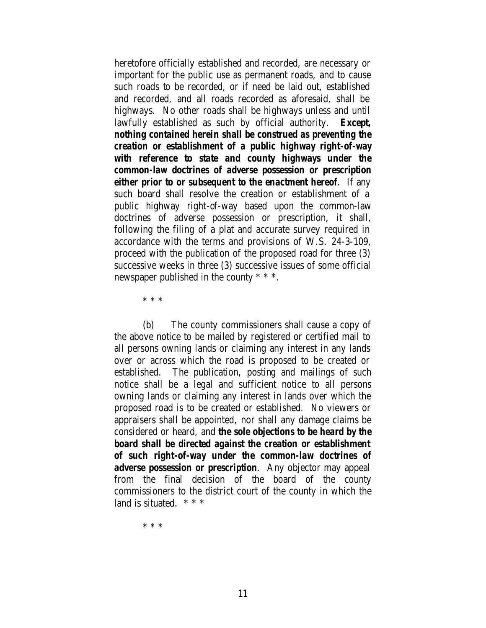heretofore officially established and recorded, are necessary or important for the public use as permanent roads, and to cause such roads to be recorded, or if need be laid out, established and recorded, and all roads recorded as aforesaid, shall be highways. No other roads shall be highways unless and until lawfully established as such by official authority. *Except, nothing contained herein shall be construed as preventing the creation or establishment of a public highway right-of-way with reference to state and county highways under the common-law doctrines of adverse possession or prescription either prior to or subsequent to the enactment hereof*. If any such board shall resolve the creation or establishment of a public highway right-of-way based upon the common-law doctrines of adverse possession or prescription, it shall, following the filing of a plat and accurate survey required in accordance with the terms and provisions of W.S. 24-3-109, proceed with the publication of the proposed road for three (3) successive weeks in three (3) successive issues of some official newspaper published in the county \* \* \*.

\* \* \*

(b) The county commissioners shall cause a copy of the above notice to be mailed by registered or certified mail to all persons owning lands or claiming any interest in any lands over or across which the road is proposed to be created or established. The publication, posting and mailings of such notice shall be a legal and sufficient notice to all persons owning lands or claiming any interest in lands over which the proposed road is to be created or established. No viewers or appraisers shall be appointed, nor shall any damage claims be considered or heard, and *the sole objections to be heard by the board shall be directed against the creation or establishment of such right-of-way under the common-law doctrines of adverse possession or prescription*. Any objector may appeal from the final decision of the board of the county commissioners to the district court of the county in which the land is situated.  $***$ 

\* \* \*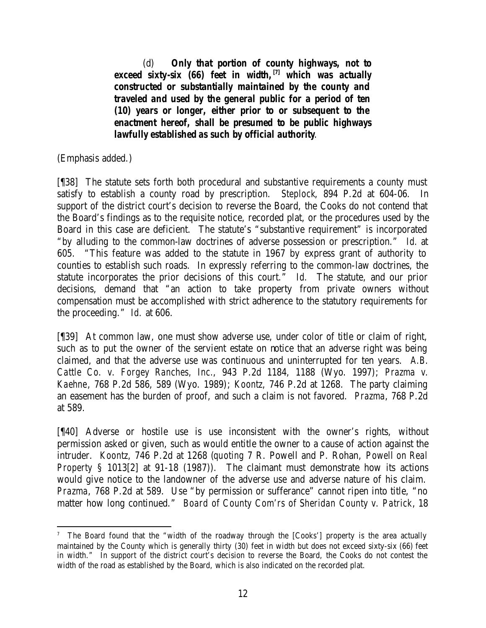(d) *Only that portion of county highways, not to exceed sixty-six (66) feet in width,[7] which was actually constructed or substantially maintained by the county and traveled and used by the general public for a period of ten (10) years or longer, either prior to or subsequent to the enactment hereof, shall be presumed to be public highways lawfully established as such by official authority*.

(Emphasis added.)

[¶38] The statute sets forth both procedural and substantive requirements a county must satisfy to establish a county road by prescription. *Steplock*, 894 P.2d at 604-06. In support of the district court's decision to reverse the Board, the Cooks do not contend that the Board's findings as to the requisite notice, recorded plat, or the procedures used by the Board in this case are deficient. The statute's "substantive requirement" is incorporated "by alluding to the common-law doctrines of adverse possession or prescription." *Id.* at 605. "This feature was added to the statute in 1967 by express grant of authority to counties to establish such roads. In expressly referring to the common-law doctrines, the statute incorporates the prior decisions of this court." *Id.* The statute, and our prior decisions, demand that "an action to take property from private owners without compensation must be accomplished with strict adherence to the statutory requirements for the proceeding." *Id.* at 606.

[¶39] At common law, one must show adverse use, under color of title or claim of right, such as to put the owner of the servient estate on notice that an adverse right was being claimed, and that the adverse use was continuous and uninterrupted for ten years. *A.B. Cattle Co. v. Forgey Ranches, Inc.*, 943 P.2d 1184, 1188 (Wyo. 1997); *Prazma v. Kaehne*, 768 P.2d 586, 589 (Wyo. 1989); *Koontz*, 746 P.2d at 1268. The party claiming an easement has the burden of proof, and such a claim is not favored. *Prazma*, 768 P.2d at 589.

[¶40] Adverse or hostile use is use inconsistent with the owner's rights, without permission asked or given, such as would entitle the owner to a cause of action against the intruder. *Koontz*, 746 P.2d at 1268 (*quoting* 7 R. Powell and P. Rohan, *Powell on Real Property* § 1013[2] at 91-18 (1987)). The claimant must demonstrate how its actions would give notice to the landowner of the adverse use and adverse nature of his claim. *Prazma*, 768 P.2d at 589. Use "by permission or sufferance" cannot ripen into title, "no matter how long continued." *Board of County Com'rs of Sheridan County v. Patrick*, 18

 7 The Board found that the "width of the roadway through the [Cooks'] property is the area actually maintained by the County which is generally thirty (30) feet in width but does not exceed sixty-six (66) feet in width." In support of the district court's decision to reverse the Board, the Cooks do not contest the width of the road as established by the Board, which is also indicated on the recorded plat.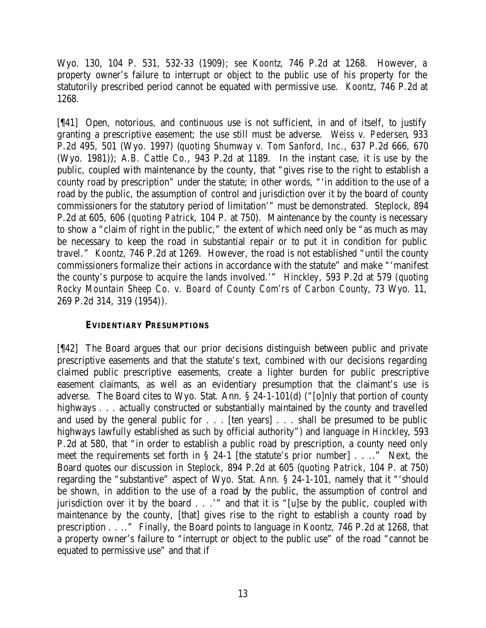Wyo. 130, 104 P. 531, 532-33 (1909); *see Koontz*, 746 P.2d at 1268. However, a property owner's failure to interrupt or object to the public use of his property for the statutorily prescribed period cannot be equated with permissive use. *Koontz*, 746 P.2d at 1268.

[¶41] Open, notorious, and continuous use is not sufficient, in and of itself, to justify granting a prescriptive easement; the use still must be adverse. *Weiss v. Pedersen*, 933 P.2d 495, 501 (Wyo. 1997) (*quoting Shumway v. Tom Sanford, Inc.*, 637 P.2d 666, 670 (Wyo. 1981)); *A.B. Cattle Co.*, 943 P.2d at 1189. In the instant case, it is use by the public, coupled with maintenance by the county, that "gives rise to the right to establish a county road by prescription" under the statute; in other words, "'in addition to the use of a road by the public, the assumption of control and jurisdiction over it by the board of county commissioners for the statutory period of limitation'" must be demonstrated. *Steplock*, 894 P.2d at 605, 606 (*quoting Patrick*, 104 P. at 750). Maintenance by the county is necessary to show a "claim of right in the public," the extent of which need only be "as much as may be necessary to keep the road in substantial repair or to put it in condition for public travel." *Koontz*, 746 P.2d at 1269. However, the road is not established "until the county commissioners formalize their actions in accordance with the statute" and make "'manifest the county's purpose to acquire the lands involved.'" *Hinckley*, 593 P.2d at 579 (*quoting Rocky Mountain Sheep Co. v. Board of County Com'rs of Carbon County*, 73 Wyo. 11, 269 P.2d 314, 319 (1954)).

# **EVIDENTIARY PRESUMPTIONS**

[¶42] The Board argues that our prior decisions distinguish between public and private prescriptive easements and that the statute's text, combined with our decisions regarding claimed public prescriptive easements, create a lighter burden for public prescriptive easement claimants, as well as an evidentiary presumption that the claimant's use is adverse. The Board cites to Wyo. Stat. Ann. § 24-1-101(d) ("[o]nly that portion of county highways . . . actually constructed or substantially maintained by the county and travelled and used by the general public for . . . [ten years] . . . shall be presumed to be public highways lawfully established as such by official authority") and language in *Hinckley*, 593 P.2d at 580, that "in order to establish a public road by prescription, a county need only meet the requirements set forth in § 24-1 [the statute's prior number] . . .." Next, the Board quotes our discussion in *Steplock*, 894 P.2d at 605 (*quoting Patrick*, 104 P. at 750) regarding the "substantive" aspect of Wyo. Stat. Ann. § 24-1-101, namely that it "'should be shown, in addition to the use of a road by the public, the assumption of control and jurisdiction over it by the board . . .'" and that it is "[u]se by the public, coupled with maintenance by the county, [that] gives rise to the right to establish a county road by prescription . . .." Finally, the Board points to language in *Koontz*, 746 P.2d at 1268, that a property owner's failure to "interrupt or object to the public use" of the road "cannot be equated to permissive use" and that if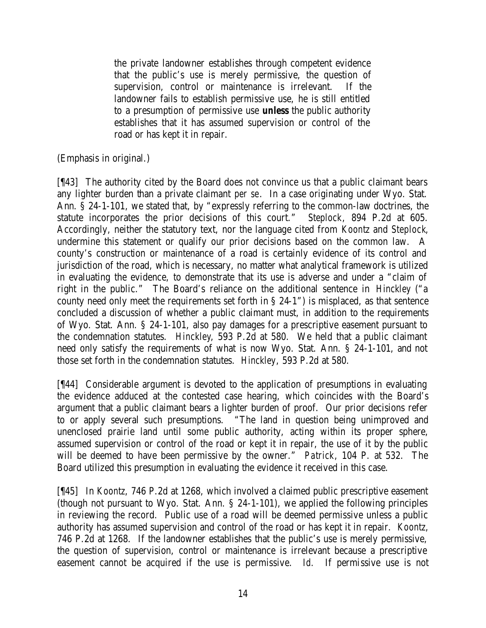the private landowner establishes through competent evidence that the public's use is merely permissive, the question of supervision, control or maintenance is irrelevant. If the landowner fails to establish permissive use, he is still entitled to a presumption of permissive use *unless* the public authority establishes that it has assumed supervision or control of the road or has kept it in repair.

(Emphasis in original.)

[¶43] The authority cited by the Board does not convince us that a public claimant bears any lighter burden than a private claimant *per se*. In a case originating under Wyo. Stat. Ann. § 24-1-101, we stated that, by "expressly referring to the common-law doctrines, the statute incorporates the prior decisions of this court." *Steplock*, 894 P.2d at 605. Accordingly, neither the statutory text, nor the language cited from *Koontz* and *Steplock*, undermine this statement or qualify our prior decisions based on the common law. A county's construction or maintenance of a road is certainly evidence of its control and jurisdiction of the road, which is necessary, no matter what analytical framework is utilized in evaluating the evidence, to demonstrate that its use is adverse and under a "claim of right in the public." The Board's reliance on the additional sentence in *Hinckley* ("a county need only meet the requirements set forth in § 24-1") is misplaced, as that sentence concluded a discussion of whether a public claimant must, in addition to the requirements of Wyo. Stat. Ann. § 24-1-101, also pay damages for a prescriptive easement pursuant to the condemnation statutes. *Hinckley*, 593 P.2d at 580. We held that a public claimant need only satisfy the requirements of what is now Wyo. Stat. Ann. § 24-1-101, and not those set forth in the condemnation statutes. *Hinckley*, 593 P.2d at 580.

[¶44] Considerable argument is devoted to the application of presumptions in evaluating the evidence adduced at the contested case hearing, which coincides with the Board's argument that a public claimant bears a lighter burden of proof. Our prior decisions refer to or apply several such presumptions. "The land in question being unimproved and unenclosed prairie land until some public authority, acting within its proper sphere, assumed supervision or control of the road or kept it in repair, the use of it by the public will be deemed to have been permissive by the owner." *Patrick*, 104 P. at 532. The Board utilized this presumption in evaluating the evidence it received in this case.

[¶45] In *Koontz*, 746 P.2d at 1268, which involved a claimed public prescriptive easement (though not pursuant to Wyo. Stat. Ann. § 24-1-101), we applied the following principles in reviewing the record. Public use of a road will be deemed permissive unless a public authority has assumed supervision and control of the road or has kept it in repair. *Koontz*, 746 P.2d at 1268. If the landowner establishes that the public's use is merely permissive, the question of supervision, control or maintenance is irrelevant because a prescriptive easement cannot be acquired if the use is permissive. *Id.* If permissive use is not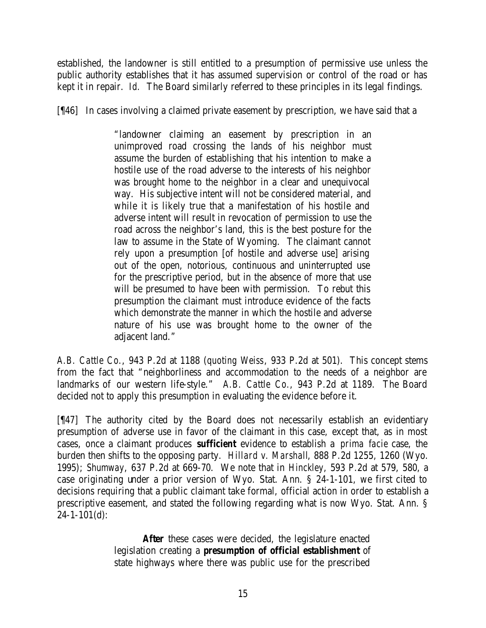established, the landowner is still entitled to a presumption of permissive use unless the public authority establishes that it has assumed supervision or control of the road or has kept it in repair. *Id.* The Board similarly referred to these principles in its legal findings.

[¶46] In cases involving a claimed private easement by prescription, we have said that a

"landowner claiming an easement by prescription in an unimproved road crossing the lands of his neighbor must assume the burden of establishing that his intention to make a hostile use of the road adverse to the interests of his neighbor was brought home to the neighbor in a clear and unequivocal way. His subjective intent will not be considered material, and while it is likely true that a manifestation of his hostile and adverse intent will result in revocation of permission to use the road across the neighbor's land, this is the best posture for the law to assume in the State of Wyoming. The claimant cannot rely upon a presumption [of hostile and adverse use] arising out of the open, notorious, continuous and uninterrupted use for the prescriptive period, but in the absence of more that use will be presumed to have been with permission. To rebut this presumption the claimant must introduce evidence of the facts which demonstrate the manner in which the hostile and adverse nature of his use was brought home to the owner of the adjacent land."

*A.B. Cattle Co.*, 943 P.2d at 1188 (*quoting Weiss*, 933 P.2d at 501). This concept stems from the fact that "neighborliness and accommodation to the needs of a neighbor are landmarks of our western life-style." *A.B. Cattle Co.*, 943 P.2d at 1189. The Board decided not to apply this presumption in evaluating the evidence before it.

[¶47] The authority cited by the Board does not necessarily establish an evidentiary presumption of adverse use in favor of the claimant in this case, except that, as in most cases, once a claimant produces *sufficient* evidence to establish a *prima facie* case, the burden then shifts to the opposing party. *Hillard v. Marshall*, 888 P.2d 1255, 1260 (Wyo. 1995); *Shumway*, 637 P.2d at 669-70. We note that in *Hinckley*, 593 P.2d at 579, 580, a case originating under a prior version of Wyo. Stat. Ann. § 24-1-101, we first cited to decisions requiring that a public claimant take formal, official action in order to establish a prescriptive easement, and stated the following regarding what is now Wyo. Stat. Ann. §  $24 - 1 - 101(d)$ :

> *After* these cases were decided, the legislature enacted legislation creating a *presumption of official establishment* of state highways where there was public use for the prescribed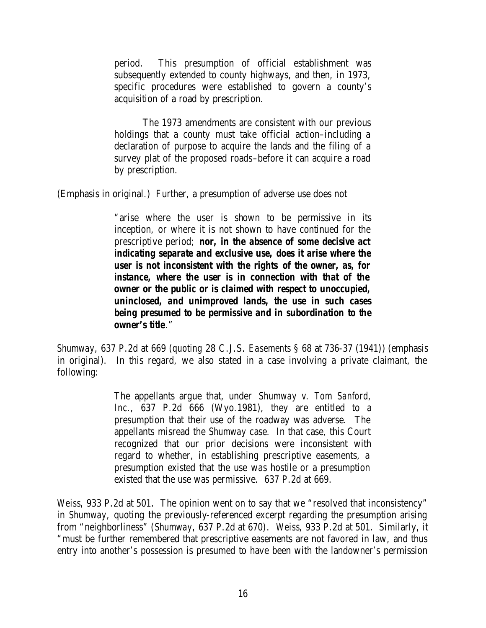period. This presumption of official establishment was subsequently extended to county highways, and then, in 1973, specific procedures were established to govern a county's acquisition of a road by prescription.

The 1973 amendments are consistent with our previous holdings that a county must take official action–including a declaration of purpose to acquire the lands and the filing of a survey plat of the proposed roads–before it can acquire a road by prescription.

(Emphasis in original.) Further, a presumption of adverse use does not

"arise where the user is shown to be permissive in its inception, or where it is not shown to have continued for the prescriptive period; *nor, in the absence of some decisive act indicating separate and exclusive use, does it arise where the user is not inconsistent with the rights of the owner, as, for instance, where the user is in connection with that of the owner or the public or is claimed with respect to unoccupied, uninclosed, and unimproved lands, the use in such cases being presumed to be permissive and in subordination to the owner's title*."

*Shumway*, 637 P.2d at 669 (*quoting* 28 C.J.S. *Easements* § 68 at 736-37 (1941)) (emphasis in original). In this regard, we also stated in a case involving a private claimant, the following:

> The appellants argue that, under *Shumway v. Tom Sanford, Inc.*, 637 P.2d 666 (Wyo.1981), they are entitled to a presumption that their use of the roadway was adverse. The appellants misread the *Shumway* case. In that case, this Court recognized that our prior decisions were inconsistent with regard to whether, in establishing prescriptive easements, a presumption existed that the use was hostile or a presumption existed that the use was permissive. 637 P.2d at 669.

*Weiss*, 933 P.2d at 501. The opinion went on to say that we "resolved that inconsistency" in *Shumway*, quoting the previously-referenced excerpt regarding the presumption arising from "neighborliness" (*Shumway*, 637 P.2d at 670). *Weiss*, 933 P.2d at 501. Similarly, it "must be further remembered that prescriptive easements are not favored in law, and thus entry into another's possession is presumed to have been with the landowner's permission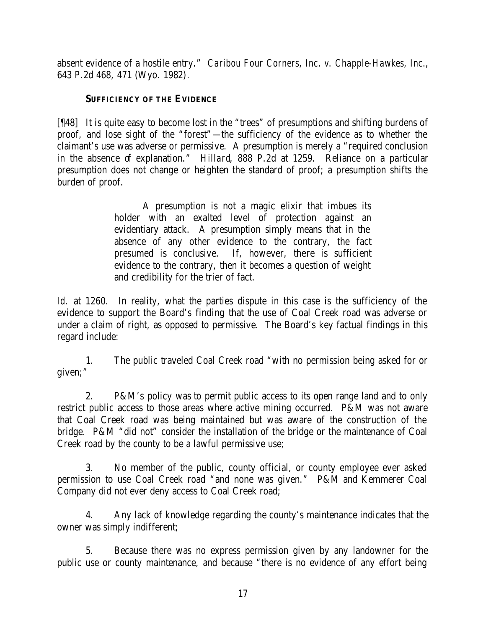absent evidence of a hostile entry." *Caribou Four Corners, Inc. v. Chapple-Hawkes, Inc.*, 643 P.2d 468, 471 (Wyo. 1982).

# **SUFFICIENCY OF THE EVIDENCE**

[¶48] It is quite easy to become lost in the "trees" of presumptions and shifting burdens of proof, and lose sight of the "forest"—the sufficiency of the evidence as to whether the claimant's use was adverse or permissive. A presumption is merely a "required conclusion in the absence of explanation." *Hillard*, 888 P.2d at 1259. Reliance on a particular presumption does not change or heighten the standard of proof; a presumption shifts the burden of proof.

> A presumption is not a magic elixir that imbues its holder with an exalted level of protection against an evidentiary attack. A presumption simply means that in the absence of any other evidence to the contrary, the fact presumed is conclusive. If, however, there is sufficient evidence to the contrary, then it becomes a question of weight and credibility for the trier of fact.

Id. at 1260. In reality, what the parties dispute in this case is the sufficiency of the evidence to support the Board's finding that the use of Coal Creek road was adverse or under a claim of right, as opposed to permissive. The Board's key factual findings in this regard include:

1. The public traveled Coal Creek road "with no permission being asked for or given;"

2. P&M's policy was to permit public access to its open range land and to only restrict public access to those areas where active mining occurred. P&M was not aware that Coal Creek road was being maintained but was aware of the construction of the bridge. P&M "did not" consider the installation of the bridge or the maintenance of Coal Creek road by the county to be a lawful permissive use;

3. No member of the public, county official, or county employee ever asked permission to use Coal Creek road "and none was given." P&M and Kemmerer Coal Company did not ever deny access to Coal Creek road;

4. Any lack of knowledge regarding the county's maintenance indicates that the owner was simply indifferent;

5. Because there was no express permission given by any landowner for the public use or county maintenance, and because "there is no evidence of any effort being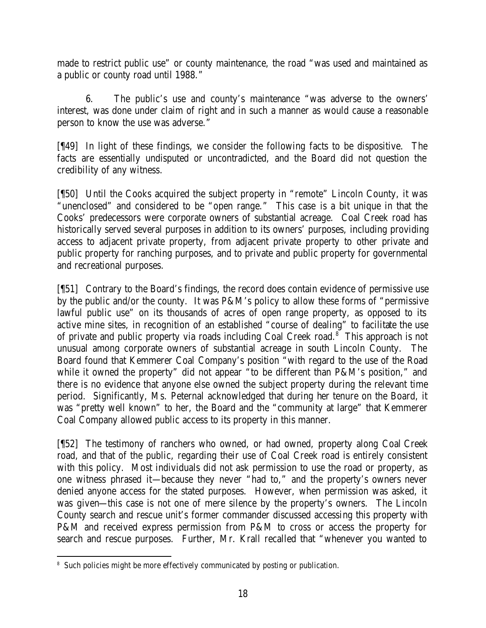made to restrict public use" or county maintenance, the road "was used and maintained as a public or county road until 1988."

6. The public's use and county's maintenance "was adverse to the owners' interest, was done under claim of right and in such a manner as would cause a reasonable person to know the use was adverse."

[¶49] In light of these findings, we consider the following facts to be dispositive. The facts are essentially undisputed or uncontradicted, and the Board did not question the credibility of any witness.

[¶50] Until the Cooks acquired the subject property in "remote" Lincoln County, it was "unenclosed" and considered to be "open range." This case is a bit unique in that the Cooks' predecessors were corporate owners of substantial acreage. Coal Creek road has historically served several purposes in addition to its owners' purposes, including providing access to adjacent private property, from adjacent private property to other private and public property for ranching purposes, and to private and public property for governmental and recreational purposes.

[¶51] Contrary to the Board's findings, the record does contain evidence of permissive use by the public and/or the county. It was P&M's policy to allow these forms of "permissive lawful public use" on its thousands of acres of open range property, as opposed to its active mine sites, in recognition of an established "course of dealing" to facilitate the use of private and public property via roads including Coal Creek road.<sup>8</sup> This approach is not unusual among corporate owners of substantial acreage in south Lincoln County. The Board found that Kemmerer Coal Company's position "with regard to the use of the Road while it owned the property" did not appear "to be different than P&M's position," and there is no evidence that anyone else owned the subject property during the relevant time period. Significantly, Ms. Peternal acknowledged that during her tenure on the Board, it was "pretty well known" to her, the Board and the "community at large" that Kemmerer Coal Company allowed public access to its property in this manner.

[¶52] The testimony of ranchers who owned, or had owned, property along Coal Creek road, and that of the public, regarding their use of Coal Creek road is entirely consistent with this policy. Most individuals did not ask permission to use the road or property, as one witness phrased it—because they never "had to," and the property's owners never denied anyone access for the stated purposes. However, when permission was asked, it was given—this case is not one of mere silence by the property's owners. The Lincoln County search and rescue unit's former commander discussed accessing this property with P&M and received express permission from P&M to cross or access the property for search and rescue purposes. Further, Mr. Krall recalled that "whenever you wanted to

 <sup>8</sup> Such policies might be more effectively communicated by posting or publication.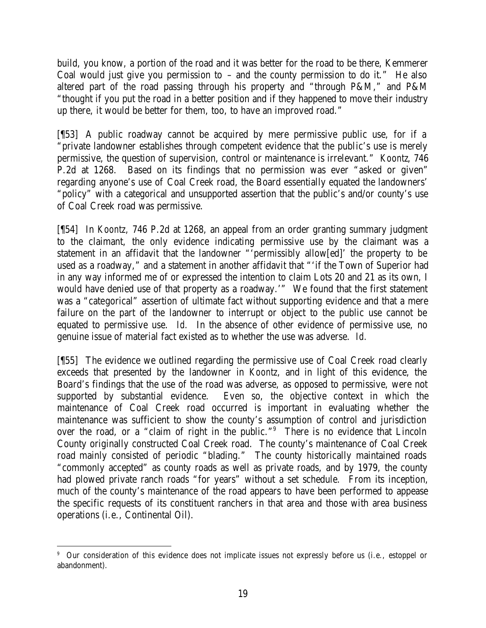build, you know, a portion of the road and it was better for the road to be there, Kemmerer Coal would just give you permission to – and the county permission to do it." He also altered part of the road passing through his property and "through P&M," and P&M "thought if you put the road in a better position and if they happened to move their industry up there, it would be better for them, too, to have an improved road."

[¶53] A public roadway cannot be acquired by mere permissive public use, for if a "private landowner establishes through competent evidence that the public's use is merely permissive, the question of supervision, control or maintenance is irrelevant." *Koontz*, 746 P.2d at 1268. Based on its findings that no permission was ever "asked or given" regarding anyone's use of Coal Creek road, the Board essentially equated the landowners' "policy" with a categorical and unsupported assertion that the public's and/or county's use of Coal Creek road was permissive.

[¶54] In *Koontz*, 746 P.2d at 1268, an appeal from an order granting summary judgment to the claimant, the only evidence indicating permissive use by the claimant was a statement in an affidavit that the landowner "'permissibly allow[ed]' the property to be used as a roadway," and a statement in another affidavit that "'if the Town of Superior had in any way informed me of or expressed the intention to claim Lots 20 and 21 as its own, I would have denied use of that property as a roadway.'" We found that the first statement was a "categorical" assertion of ultimate fact without supporting evidence and that a mere failure on the part of the landowner to interrupt or object to the public use cannot be equated to permissive use. *Id.* In the absence of other evidence of permissive use, no genuine issue of material fact existed as to whether the use was adverse. *Id.*

[¶55] The evidence we outlined regarding the permissive use of Coal Creek road clearly exceeds that presented by the landowner in *Koontz*, and in light of this evidence, the Board's findings that the use of the road was adverse, as opposed to permissive, were not supported by substantial evidence. Even so, the objective context in which the maintenance of Coal Creek road occurred is important in evaluating whether the maintenance was sufficient to show the county's assumption of control and jurisdiction over the road, or a "claim of right in the public."<sup>9</sup> There is no evidence that Lincoln County originally constructed Coal Creek road. The county's maintenance of Coal Creek road mainly consisted of periodic "blading." The county historically maintained roads "commonly accepted" as county roads as well as private roads, and by 1979, the county had plowed private ranch roads "for years" without a set schedule. From its inception, much of the county's maintenance of the road appears to have been performed to appease the specific requests of its constituent ranchers in that area and those with area business operations (i.e., Continental Oil).

 9 Our consideration of this evidence does not implicate issues not expressly before us (i.e., estoppel or abandonment).